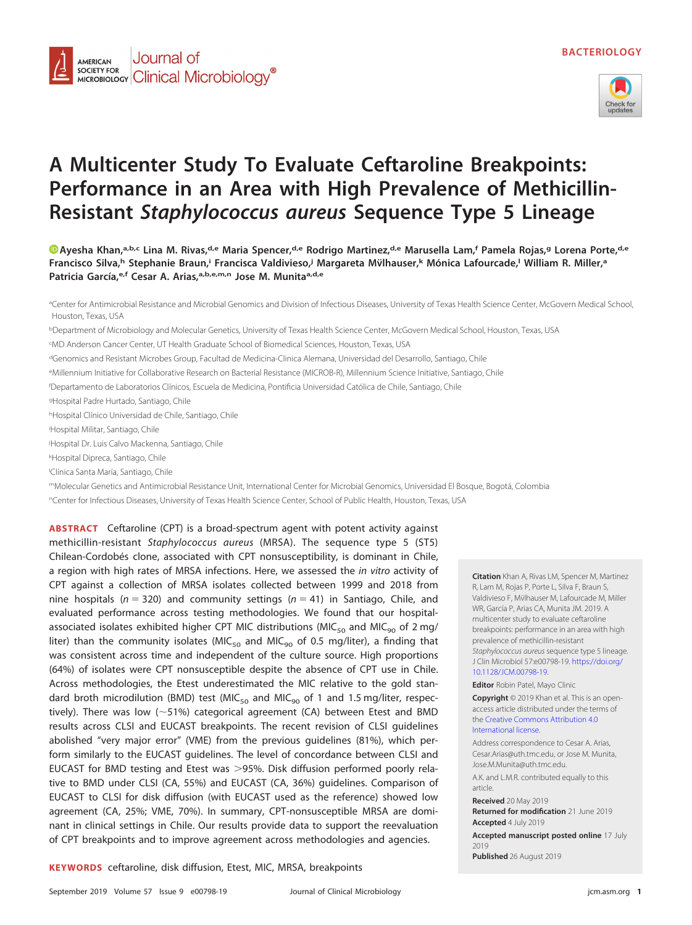



# **A Multicenter Study To Evaluate Ceftaroline Breakpoints: Performance in an Area with High Prevalence of Methicillin-Resistant Staphylococcus aureus Sequence Type 5 Lineage**

**[Ayesha Khan,](http://orcid.org/0000-0002-0489-0712)a,b,c Lina M. Rivas,d,e Maria Spencer,d,e Rodrigo Martinez,d,e Marusella Lam,f Pamela Rojas,g Lorena Porte,d,e Francisco Silva,h Stephanie Braun,i Francisca Valdivieso,j Margareta Mv¨lhauser,k Mónica Lafourcade,l William R. Miller,a Patricia García,e,f Cesar A. Arias,a,b,e,m,n Jose M. Munitaa,d,e**

aCenter for Antimicrobial Resistance and Microbial Genomics and Division of Infectious Diseases, University of Texas Health Science Center, McGovern Medical School, Houston, Texas, USA

<sup>b</sup>Department of Microbiology and Molecular Genetics, University of Texas Health Science Center, McGovern Medical School, Houston, Texas, USA

c MD Anderson Cancer Center, UT Health Graduate School of Biomedical Sciences, Houston, Texas, USA

<sup>d</sup>Genomics and Resistant Microbes Group, Facultad de Medicina-Clinica Alemana, Universidad del Desarrollo, Santiago, Chile

<sup>e</sup>Millennium Initiative for Collaborative Research on Bacterial Resistance (MICROB-R), Millennium Science Initiative, Santiago, Chile

f Departamento de Laboratorios Clínicos, Escuela de Medicina, Pontificia Universidad Católica de Chile, Santiago, Chile

<sup>g</sup>Hospital Padre Hurtado, Santiago, Chile

hHospital Clínico Universidad de Chile, Santiago, Chile

j Hospital Dr. Luis Calvo Mackenna, Santiago, Chile

k Hospital Dipreca, Santiago, Chile

l Clínica Santa María, Santiago, Chile

<sup>m</sup>Molecular Genetics and Antimicrobial Resistance Unit, International Center for Microbial Genomics, Universidad El Bosque, Bogotá, Colombia <sup>n</sup>Center for Infectious Diseases, University of Texas Health Science Center, School of Public Health, Houston, Texas, USA

**ABSTRACT** Ceftaroline (CPT) is a broad-spectrum agent with potent activity against methicillin-resistant Staphylococcus aureus (MRSA). The sequence type 5 (ST5) Chilean-Cordobés clone, associated with CPT nonsusceptibility, is dominant in Chile, a region with high rates of MRSA infections. Here, we assessed the in vitro activity of CPT against a collection of MRSA isolates collected between 1999 and 2018 from nine hospitals ( $n = 320$ ) and community settings ( $n = 41$ ) in Santiago, Chile, and evaluated performance across testing methodologies. We found that our hospitalassociated isolates exhibited higher CPT MIC distributions (MIC<sub>50</sub> and MIC<sub>90</sub> of 2 mg/ liter) than the community isolates (MIC<sub>50</sub> and MIC<sub>90</sub> of 0.5 mg/liter), a finding that was consistent across time and independent of the culture source. High proportions (64%) of isolates were CPT nonsusceptible despite the absence of CPT use in Chile. Across methodologies, the Etest underestimated the MIC relative to the gold standard broth microdilution (BMD) test (MIC<sub>50</sub> and MIC<sub>90</sub> of 1 and 1.5 mg/liter, respectively). There was low  $(\sim 51\%)$  categorical agreement (CA) between Etest and BMD results across CLSI and EUCAST breakpoints. The recent revision of CLSI guidelines abolished "very major error" (VME) from the previous guidelines (81%), which perform similarly to the EUCAST guidelines. The level of concordance between CLSI and EUCAST for BMD testing and Etest was >95%. Disk diffusion performed poorly relative to BMD under CLSI (CA, 55%) and EUCAST (CA, 36%) guidelines. Comparison of EUCAST to CLSI for disk diffusion (with EUCAST used as the reference) showed low agreement (CA, 25%; VME, 70%). In summary, CPT-nonsusceptible MRSA are dominant in clinical settings in Chile. Our results provide data to support the reevaluation of CPT breakpoints and to improve agreement across methodologies and agencies.

**KEYWORDS** ceftaroline, disk diffusion, Etest, MIC, MRSA, breakpoints

**Citation** Khan A, Rivas LM, Spencer M, Martinez R, Lam M, Rojas P, Porte L, Silva F, Braun S, Valdivieso F, Mülhauser M, Lafourcade M, Miller WR, García P, Arias CA, Munita JM. 2019. A multicenter study to evaluate ceftaroline breakpoints: performance in an area with high prevalence of methicillin-resistant Staphylococcus aureus sequence type 5 lineage. J Clin Microbiol 57:e00798-19. [https://doi.org/](https://doi.org/10.1128/JCM.00798-19) [10.1128/JCM.00798-19.](https://doi.org/10.1128/JCM.00798-19)

**Editor** Robin Patel, Mayo Clinic

**Copyright** © 2019 Khan et al. This is an openaccess article distributed under the terms of the [Creative Commons Attribution 4.0](https://creativecommons.org/licenses/by/4.0/) [International license.](https://creativecommons.org/licenses/by/4.0/)

Address correspondence to Cesar A. Arias, [Cesar.Arias@uth.tmc.edu,](mailto:Cesar.Arias@uth.tmc.edu) or Jose M. Munita, [Jose.M.Munita@uth.tmc.edu.](mailto:Jose.M.Munita@uth.tmc.edu)

A.K. and L.M.R. contributed equally to this article.

**Received** 20 May 2019 **Returned for modification** 21 June 2019 **Accepted** 4 July 2019

**Accepted manuscript posted online** 17 July 2019

**Published** 26 August 2019

i Hospital Militar, Santiago, Chile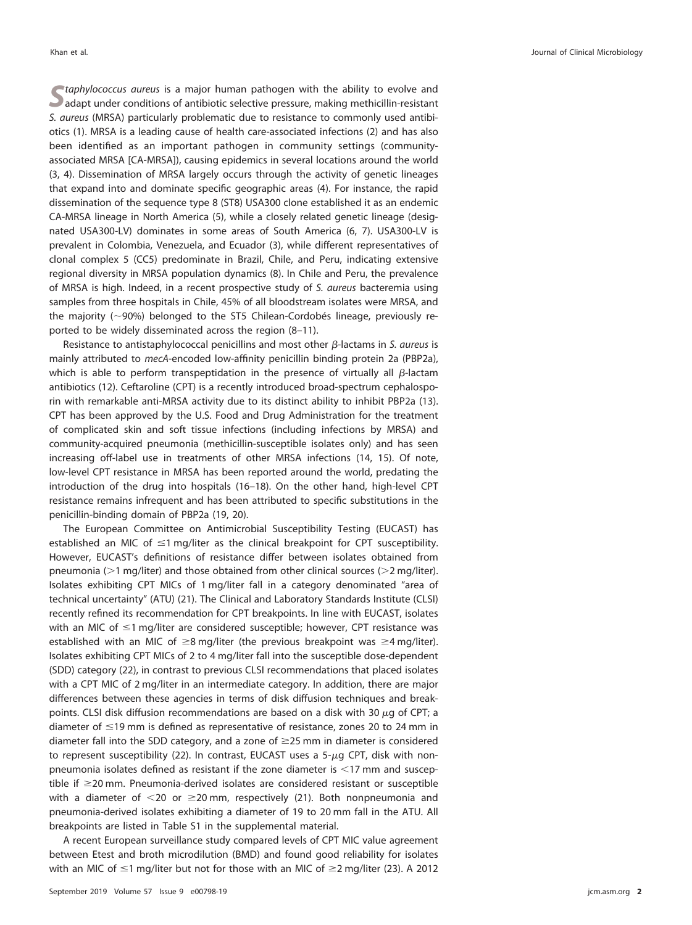*S*taphylococcus aureus is a major human pathogen with the ability to evolve and adapt under conditions of antibiotic selective pressure, making methicillin-resistant S. aureus (MRSA) particularly problematic due to resistance to commonly used antibiotics [\(1\)](#page-9-0). MRSA is a leading cause of health care-associated infections [\(2\)](#page-9-1) and has also been identified as an important pathogen in community settings (communityassociated MRSA [CA-MRSA]), causing epidemics in several locations around the world [\(3,](#page-9-2) [4\)](#page-9-3). Dissemination of MRSA largely occurs through the activity of genetic lineages that expand into and dominate specific geographic areas [\(4\)](#page-9-3). For instance, the rapid dissemination of the sequence type 8 (ST8) USA300 clone established it as an endemic CA-MRSA lineage in North America [\(5\)](#page-9-4), while a closely related genetic lineage (designated USA300-LV) dominates in some areas of South America [\(6,](#page-10-0) [7\)](#page-10-1). USA300-LV is prevalent in Colombia, Venezuela, and Ecuador [\(3\)](#page-9-2), while different representatives of clonal complex 5 (CC5) predominate in Brazil, Chile, and Peru, indicating extensive regional diversity in MRSA population dynamics [\(8\)](#page-10-2). In Chile and Peru, the prevalence of MRSA is high. Indeed, in a recent prospective study of S. aureus bacteremia using samples from three hospitals in Chile, 45% of all bloodstream isolates were MRSA, and the majority  $(\sim)90\%$  belonged to the ST5 Chilean-Cordobés lineage, previously reported to be widely disseminated across the region [\(8](#page-10-2)[–](#page-10-3)[11\)](#page-10-4).

Resistance to antistaphylococcal penicillins and most other  $\beta$ -lactams in S. aureus is mainly attributed to mecA-encoded low-affinity penicillin binding protein 2a (PBP2a), which is able to perform transpeptidation in the presence of virtually all  $\beta$ -lactam antibiotics [\(12\)](#page-10-5). Ceftaroline (CPT) is a recently introduced broad-spectrum cephalosporin with remarkable anti-MRSA activity due to its distinct ability to inhibit PBP2a [\(13\)](#page-10-6). CPT has been approved by the U.S. Food and Drug Administration for the treatment of complicated skin and soft tissue infections (including infections by MRSA) and community-acquired pneumonia (methicillin-susceptible isolates only) and has seen increasing off-label use in treatments of other MRSA infections [\(14,](#page-10-7) [15\)](#page-10-8). Of note, low-level CPT resistance in MRSA has been reported around the world, predating the introduction of the drug into hospitals [\(16](#page-10-9)[–](#page-10-10)[18\)](#page-10-11). On the other hand, high-level CPT resistance remains infrequent and has been attributed to specific substitutions in the penicillin-binding domain of PBP2a [\(19,](#page-10-12) [20\)](#page-10-13).

The European Committee on Antimicrobial Susceptibility Testing (EUCAST) has established an MIC of  $\leq$ 1 mg/liter as the clinical breakpoint for CPT susceptibility. However, EUCAST's definitions of resistance differ between isolates obtained from pneumonia ( $>1$  mg/liter) and those obtained from other clinical sources ( $>2$  mg/liter). Isolates exhibiting CPT MICs of 1 mg/liter fall in a category denominated "area of technical uncertainty" (ATU) [\(21\)](#page-10-14). The Clinical and Laboratory Standards Institute (CLSI) recently refined its recommendation for CPT breakpoints. In line with EUCAST, isolates with an MIC of  $\leq$ 1 mg/liter are considered susceptible; however, CPT resistance was established with an MIC of  $\geq$ 8 mg/liter (the previous breakpoint was  $\geq$ 4 mg/liter). Isolates exhibiting CPT MICs of 2 to 4 mg/liter fall into the susceptible dose-dependent (SDD) category [\(22\)](#page-10-15), in contrast to previous CLSI recommendations that placed isolates with a CPT MIC of 2 mg/liter in an intermediate category. In addition, there are major differences between these agencies in terms of disk diffusion techniques and breakpoints. CLSI disk diffusion recommendations are based on a disk with 30  $\mu$ g of CPT; a diameter of  $\leq$ 19 mm is defined as representative of resistance, zones 20 to 24 mm in diameter fall into the SDD category, and a zone of  $\geq$ 25 mm in diameter is considered to represent susceptibility [\(22\)](#page-10-15). In contrast, EUCAST uses a 5- $\mu$ g CPT, disk with nonpneumonia isolates defined as resistant if the zone diameter is  $\leq$ 17 mm and susceptible if  $\geq$ 20 mm. Pneumonia-derived isolates are considered resistant or susceptible with a diameter of  $\leq$ 20 or  $\geq$ 20 mm, respectively [\(21\)](#page-10-14). Both nonpneumonia and pneumonia-derived isolates exhibiting a diameter of 19 to 20 mm fall in the ATU. All breakpoints are listed in Table S1 in the supplemental material.

A recent European surveillance study compared levels of CPT MIC value agreement between Etest and broth microdilution (BMD) and found good reliability for isolates with an MIC of  $\leq$ 1 mg/liter but not for those with an MIC of  $\geq$ 2 mg/liter [\(23\)](#page-10-16). A 2012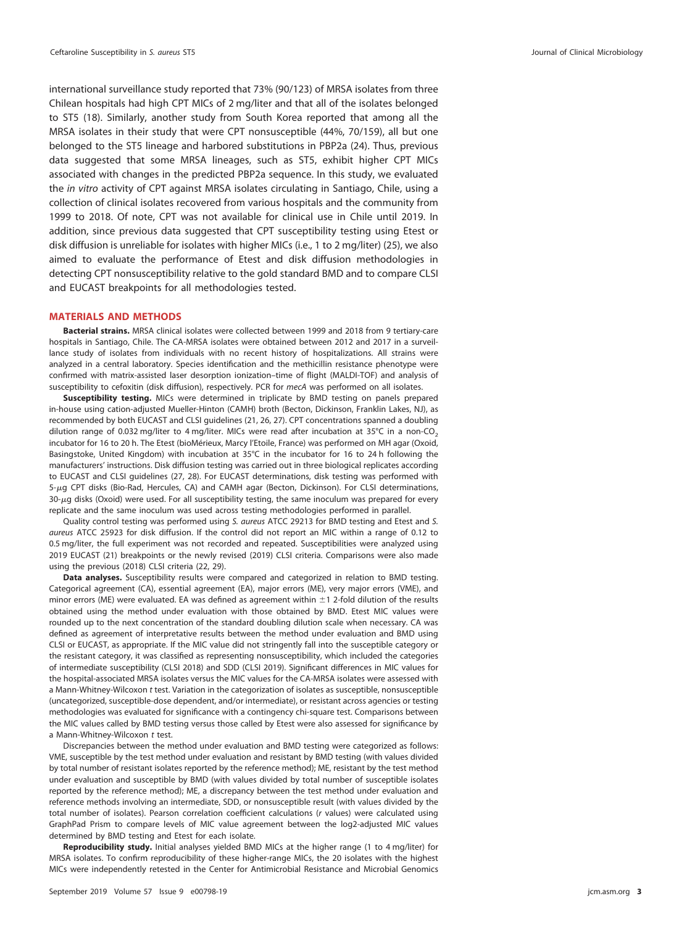international surveillance study reported that 73% (90/123) of MRSA isolates from three Chilean hospitals had high CPT MICs of 2 mg/liter and that all of the isolates belonged to ST5 [\(18\)](#page-10-11). Similarly, another study from South Korea reported that among all the MRSA isolates in their study that were CPT nonsusceptible (44%, 70/159), all but one belonged to the ST5 lineage and harbored substitutions in PBP2a [\(24\)](#page-10-17). Thus, previous data suggested that some MRSA lineages, such as ST5, exhibit higher CPT MICs associated with changes in the predicted PBP2a sequence. In this study, we evaluated the in vitro activity of CPT against MRSA isolates circulating in Santiago, Chile, using a collection of clinical isolates recovered from various hospitals and the community from 1999 to 2018. Of note, CPT was not available for clinical use in Chile until 2019. In addition, since previous data suggested that CPT susceptibility testing using Etest or disk diffusion is unreliable for isolates with higher MICs (i.e., 1 to 2 mg/liter) [\(25\)](#page-10-18), we also aimed to evaluate the performance of Etest and disk diffusion methodologies in detecting CPT nonsusceptibility relative to the gold standard BMD and to compare CLSI and EUCAST breakpoints for all methodologies tested.

## **MATERIALS AND METHODS**

**Bacterial strains.** MRSA clinical isolates were collected between 1999 and 2018 from 9 tertiary-care hospitals in Santiago, Chile. The CA-MRSA isolates were obtained between 2012 and 2017 in a surveillance study of isolates from individuals with no recent history of hospitalizations. All strains were analyzed in a central laboratory. Species identification and the methicillin resistance phenotype were confirmed with matrix-assisted laser desorption ionization–time of flight (MALDI-TOF) and analysis of susceptibility to cefoxitin (disk diffusion), respectively. PCR for mecA was performed on all isolates.

**Susceptibility testing.** MICs were determined in triplicate by BMD testing on panels prepared in-house using cation-adjusted Mueller-Hinton (CAMH) broth (Becton, Dickinson, Franklin Lakes, NJ), as recommended by both EUCAST and CLSI guidelines [\(21,](#page-10-14) [26,](#page-10-19) [27\)](#page-10-20). CPT concentrations spanned a doubling dilution range of 0.032 mg/liter to 4 mg/liter. MICs were read after incubation at 35°C in a non-CO<sub>2</sub> incubator for 16 to 20 h. The Etest (bioMérieux, Marcy l'Etoile, France) was performed on MH agar (Oxoid, Basingstoke, United Kingdom) with incubation at 35°C in the incubator for 16 to 24 h following the manufacturers' instructions. Disk diffusion testing was carried out in three biological replicates according to EUCAST and CLSI guidelines [\(27,](#page-10-20) [28\)](#page-10-21). For EUCAST determinations, disk testing was performed with  $5-\mu$ g CPT disks (Bio-Rad, Hercules, CA) and CAMH agar (Becton, Dickinson). For CLSI determinations, 30-µg disks (Oxoid) were used. For all susceptibility testing, the same inoculum was prepared for every replicate and the same inoculum was used across testing methodologies performed in parallel.

Quality control testing was performed using S. aureus ATCC 29213 for BMD testing and Etest and S. aureus ATCC 25923 for disk diffusion. If the control did not report an MIC within a range of 0.12 to 0.5 mg/liter, the full experiment was not recorded and repeated. Susceptibilities were analyzed using 2019 EUCAST [\(21\)](#page-10-14) breakpoints or the newly revised (2019) CLSI criteria. Comparisons were also made using the previous (2018) CLSI criteria [\(22,](#page-10-15) [29\)](#page-10-22).

**Data analyses.** Susceptibility results were compared and categorized in relation to BMD testing. Categorical agreement (CA), essential agreement (EA), major errors (ME), very major errors (VME), and minor errors (ME) were evaluated. EA was defined as agreement within  $\pm 1$  2-fold dilution of the results obtained using the method under evaluation with those obtained by BMD. Etest MIC values were rounded up to the next concentration of the standard doubling dilution scale when necessary. CA was defined as agreement of interpretative results between the method under evaluation and BMD using CLSI or EUCAST, as appropriate. If the MIC value did not stringently fall into the susceptible category or the resistant category, it was classified as representing nonsusceptibility, which included the categories of intermediate susceptibility (CLSI 2018) and SDD (CLSI 2019). Significant differences in MIC values for the hospital-associated MRSA isolates versus the MIC values for the CA-MRSA isolates were assessed with a Mann-Whitney-Wilcoxon t test. Variation in the categorization of isolates as susceptible, nonsusceptible (uncategorized, susceptible-dose dependent, and/or intermediate), or resistant across agencies or testing methodologies was evaluated for significance with a contingency chi-square test. Comparisons between the MIC values called by BMD testing versus those called by Etest were also assessed for significance by a Mann-Whitney-Wilcoxon t test.

Discrepancies between the method under evaluation and BMD testing were categorized as follows: VME, susceptible by the test method under evaluation and resistant by BMD testing (with values divided by total number of resistant isolates reported by the reference method); ME, resistant by the test method under evaluation and susceptible by BMD (with values divided by total number of susceptible isolates reported by the reference method); ME, a discrepancy between the test method under evaluation and reference methods involving an intermediate, SDD, or nonsusceptible result (with values divided by the total number of isolates). Pearson correlation coefficient calculations (r values) were calculated using GraphPad Prism to compare levels of MIC value agreement between the log2-adjusted MIC values determined by BMD testing and Etest for each isolate.

**Reproducibility study.** Initial analyses yielded BMD MICs at the higher range (1 to 4 mg/liter) for MRSA isolates. To confirm reproducibility of these higher-range MICs, the 20 isolates with the highest MICs were independently retested in the Center for Antimicrobial Resistance and Microbial Genomics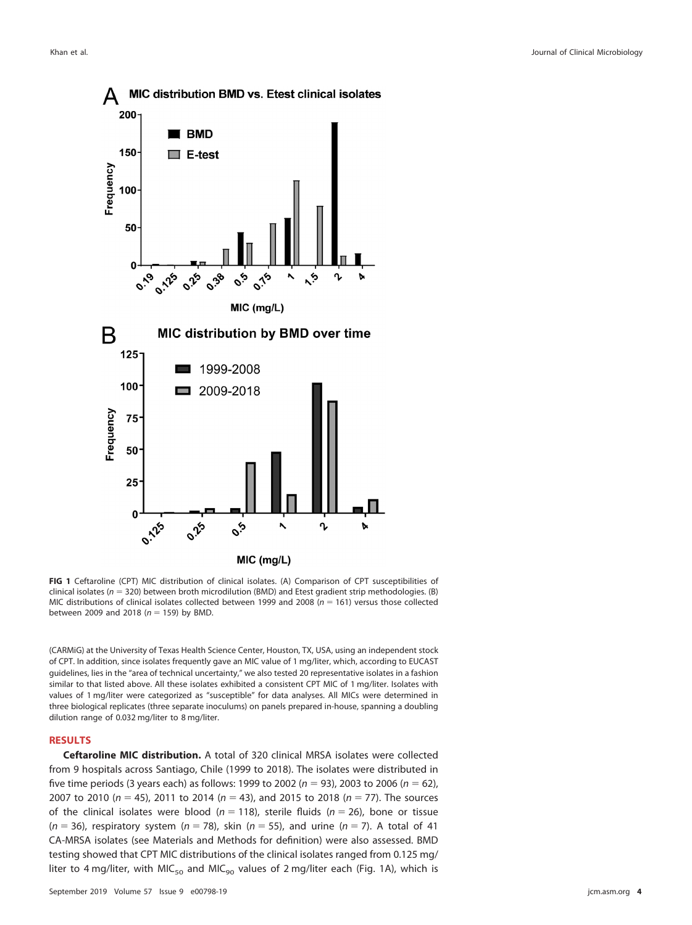

<span id="page-3-0"></span>**FIG 1** Ceftaroline (CPT) MIC distribution of clinical isolates. (A) Comparison of CPT susceptibilities of clinical isolates ( $n = 320$ ) between broth microdilution (BMD) and Etest gradient strip methodologies. (B) MIC distributions of clinical isolates collected between 1999 and 2008 ( $n = 161$ ) versus those collected between 2009 and 2018 ( $n = 159$ ) by BMD.

(CARMiG) at the University of Texas Health Science Center, Houston, TX, USA, using an independent stock of CPT. In addition, since isolates frequently gave an MIC value of 1 mg/liter, which, according to EUCAST guidelines, lies in the "area of technical uncertainty," we also tested 20 representative isolates in a fashion similar to that listed above. All these isolates exhibited a consistent CPT MIC of 1 mg/liter. Isolates with values of 1 mg/liter were categorized as "susceptible" for data analyses. All MICs were determined in three biological replicates (three separate inoculums) on panels prepared in-house, spanning a doubling dilution range of 0.032 mg/liter to 8 mg/liter.

## **RESULTS**

**Ceftaroline MIC distribution.** A total of 320 clinical MRSA isolates were collected from 9 hospitals across Santiago, Chile (1999 to 2018). The isolates were distributed in five time periods (3 years each) as follows: 1999 to 2002 ( $n = 93$ ), 2003 to 2006 ( $n = 62$ ), 2007 to 2010 ( $n = 45$ ), 2011 to 2014 ( $n = 43$ ), and 2015 to 2018 ( $n = 77$ ). The sources of the clinical isolates were blood ( $n = 118$ ), sterile fluids ( $n = 26$ ), bone or tissue  $(n = 36)$ , respiratory system  $(n = 78)$ , skin  $(n = 55)$ , and urine  $(n = 7)$ . A total of 41 CA-MRSA isolates (see Materials and Methods for definition) were also assessed. BMD testing showed that CPT MIC distributions of the clinical isolates ranged from 0.125 mg/ liter to 4 mg/liter, with MIC<sub>50</sub> and MIC<sub>90</sub> values of 2 mg/liter each [\(Fig. 1A\)](#page-3-0), which is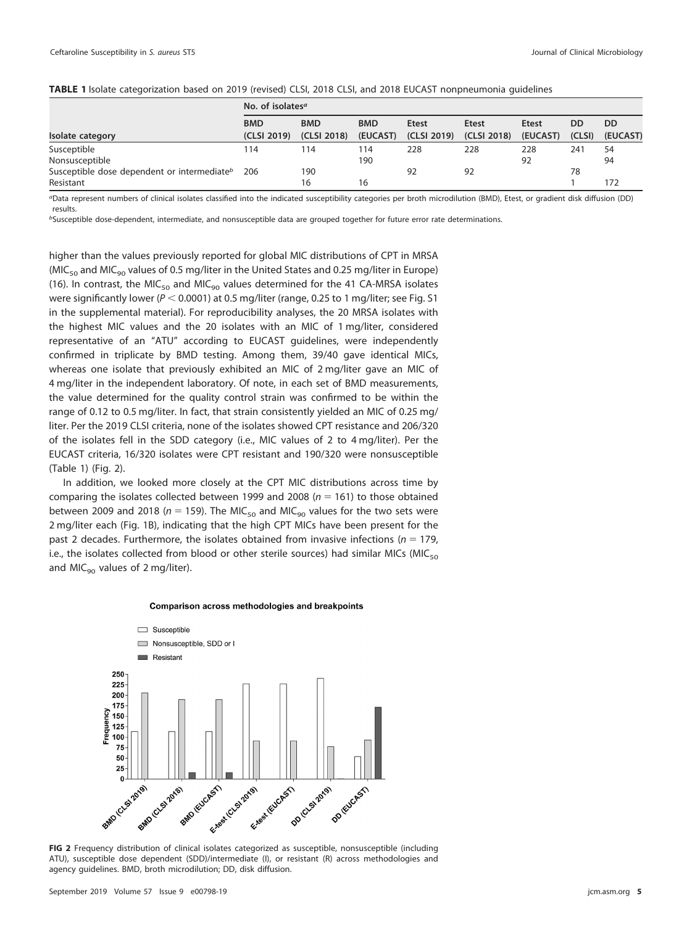<span id="page-4-0"></span>

| TABLE 1 Isolate categorization based on 2019 (revised) CLSI, 2018 CLSI, and 2018 EUCAST nonpneumonia guidelines |  |
|-----------------------------------------------------------------------------------------------------------------|--|
|-----------------------------------------------------------------------------------------------------------------|--|

|                                                         | No. of isolates <sup><i>a</i></sup> |                           |                        |                             |                             |                          |              |                       |
|---------------------------------------------------------|-------------------------------------|---------------------------|------------------------|-----------------------------|-----------------------------|--------------------------|--------------|-----------------------|
| Isolate category                                        | <b>BMD</b><br>(CLSI 2019)           | <b>BMD</b><br>(CLSI 2018) | <b>BMD</b><br>(EUCAST) | <b>Etest</b><br>(CLSI 2019) | <b>Etest</b><br>(CLSI 2018) | <b>Etest</b><br>(EUCAST) | DD<br>(CLSI) | <b>DD</b><br>(EUCAST) |
| Susceptible                                             | 114                                 | 114                       | 114                    | 228                         | 228                         | 228                      | 241          | 54                    |
| Nonsusceptible                                          |                                     |                           | 190                    |                             |                             | 92                       |              | 94                    |
| Susceptible dose dependent or intermediate <sup>b</sup> | - 206                               | 190                       |                        | 92                          | 92                          |                          | 78           |                       |
| Resistant                                               |                                     | 16                        | 16                     |                             |                             |                          |              | 172                   |

aData represent numbers of clinical isolates classified into the indicated susceptibility categories per broth microdilution (BMD), Etest, or gradient disk diffusion (DD) results.

**bSusceptible dose-dependent, intermediate, and nonsusceptible data are grouped together for future error rate determinations.** 

higher than the values previously reported for global MIC distributions of CPT in MRSA (MIC<sub>50</sub> and MIC<sub>90</sub> values of 0.5 mg/liter in the United States and 0.25 mg/liter in Europe) [\(16\)](#page-10-9). In contrast, the MIC<sub>50</sub> and MIC<sub>90</sub> values determined for the 41 CA-MRSA isolates were significantly lower ( $P < 0.0001$ ) at 0.5 mg/liter (range, 0.25 to 1 mg/liter; see Fig. S1 in the supplemental material). For reproducibility analyses, the 20 MRSA isolates with the highest MIC values and the 20 isolates with an MIC of 1 mg/liter, considered representative of an "ATU" according to EUCAST guidelines, were independently confirmed in triplicate by BMD testing. Among them, 39/40 gave identical MICs, whereas one isolate that previously exhibited an MIC of 2 mg/liter gave an MIC of 4 mg/liter in the independent laboratory. Of note, in each set of BMD measurements, the value determined for the quality control strain was confirmed to be within the range of 0.12 to 0.5 mg/liter. In fact, that strain consistently yielded an MIC of 0.25 mg/ liter. Per the 2019 CLSI criteria, none of the isolates showed CPT resistance and 206/320 of the isolates fell in the SDD category (i.e., MIC values of 2 to 4 mg/liter). Per the EUCAST criteria, 16/320 isolates were CPT resistant and 190/320 were nonsusceptible [\(Table 1\)](#page-4-0) [\(Fig. 2\)](#page-4-1).

In addition, we looked more closely at the CPT MIC distributions across time by comparing the isolates collected between 1999 and 2008 ( $n = 161$ ) to those obtained between 2009 and 2018 ( $n = 159$ ). The MIC<sub>50</sub> and MIC<sub>90</sub> values for the two sets were 2 mg/liter each [\(Fig. 1B\)](#page-3-0), indicating that the high CPT MICs have been present for the past 2 decades. Furthermore, the isolates obtained from invasive infections ( $n = 179$ , i.e., the isolates collected from blood or other sterile sources) had similar MICs (MIC<sub>50</sub>) and  $MIC_{90}$  values of 2 mg/liter).

#### Comparison across methodologies and breakpoints



<span id="page-4-1"></span>**FIG 2** Frequency distribution of clinical isolates categorized as susceptible, nonsusceptible (including ATU), susceptible dose dependent (SDD)/intermediate (I), or resistant (R) across methodologies and agency guidelines. BMD, broth microdilution; DD, disk diffusion.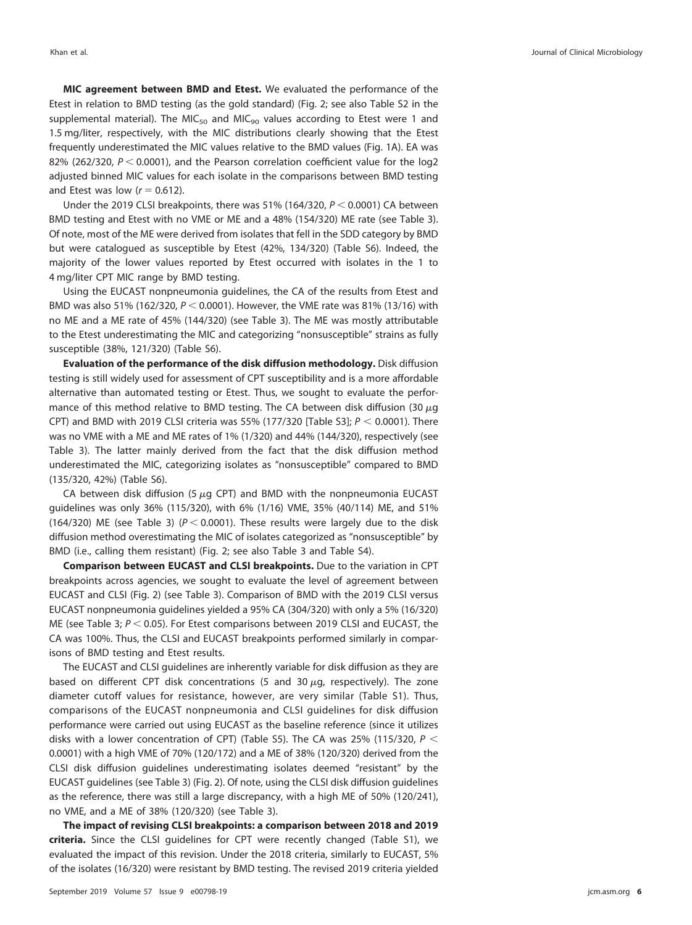**MIC agreement between BMD and Etest.** We evaluated the performance of the Etest in relation to BMD testing (as the gold standard) [\(Fig. 2;](#page-4-1) see also Table S2 in the supplemental material). The MIC<sub>50</sub> and MIC<sub>90</sub> values according to Etest were 1 and 1.5 mg/liter, respectively, with the MIC distributions clearly showing that the Etest frequently underestimated the MIC values relative to the BMD values [\(Fig. 1A\)](#page-3-0). EA was 82% (262/320,  $P < 0.0001$ ), and the Pearson correlation coefficient value for the log2 adjusted binned MIC values for each isolate in the comparisons between BMD testing and Etest was low  $(r = 0.612)$ .

Under the 2019 CLSI breakpoints, there was 51% (164/320,  $P < 0.0001$ ) CA between BMD testing and Etest with no VME or ME and a 48% (154/320) ME rate (see [Table 3\)](#page-8-0). Of note, most of the ME were derived from isolates that fell in the SDD category by BMD but were catalogued as susceptible by Etest (42%, 134/320) (Table S6). Indeed, the majority of the lower values reported by Etest occurred with isolates in the 1 to 4 mg/liter CPT MIC range by BMD testing.

Using the EUCAST nonpneumonia guidelines, the CA of the results from Etest and BMD was also 51% (162/320,  $P < 0.0001$ ). However, the VME rate was 81% (13/16) with no ME and a ME rate of 45% (144/320) (see [Table 3\)](#page-8-0). The ME was mostly attributable to the Etest underestimating the MIC and categorizing "nonsusceptible" strains as fully susceptible (38%, 121/320) (Table S6).

**Evaluation of the performance of the disk diffusion methodology.** Disk diffusion testing is still widely used for assessment of CPT susceptibility and is a more affordable alternative than automated testing or Etest. Thus, we sought to evaluate the performance of this method relative to BMD testing. The CA between disk diffusion (30  $\mu$ g CPT) and BMD with 2019 CLSI criteria was 55% (177/320 [Table S3];  $P < 0.0001$ ). There was no VME with a ME and ME rates of 1% (1/320) and 44% (144/320), respectively (see [Table 3\)](#page-8-0). The latter mainly derived from the fact that the disk diffusion method underestimated the MIC, categorizing isolates as "nonsusceptible" compared to BMD (135/320, 42%) (Table S6).

CA between disk diffusion (5  $\mu$ g CPT) and BMD with the nonpneumonia EUCAST guidelines was only 36% (115/320), with 6% (1/16) VME, 35% (40/114) ME, and 51% (164/320) ME (see [Table 3\)](#page-8-0) ( $P < 0.0001$ ). These results were largely due to the disk diffusion method overestimating the MIC of isolates categorized as "nonsusceptible" by BMD (i.e., calling them resistant) [\(Fig. 2;](#page-4-1) see also [Table 3](#page-8-0) and Table S4).

**Comparison between EUCAST and CLSI breakpoints.** Due to the variation in CPT breakpoints across agencies, we sought to evaluate the level of agreement between EUCAST and CLSI [\(Fig. 2\)](#page-4-1) (see [Table 3\)](#page-8-0). Comparison of BMD with the 2019 CLSI versus EUCAST nonpneumonia guidelines yielded a 95% CA (304/320) with only a 5% (16/320) ME (see [Table 3;](#page-8-0)  $P < 0.05$ ). For Etest comparisons between 2019 CLSI and EUCAST, the CA was 100%. Thus, the CLSI and EUCAST breakpoints performed similarly in comparisons of BMD testing and Etest results.

The EUCAST and CLSI guidelines are inherently variable for disk diffusion as they are based on different CPT disk concentrations (5 and 30  $\mu$ g, respectively). The zone diameter cutoff values for resistance, however, are very similar (Table S1). Thus, comparisons of the EUCAST nonpneumonia and CLSI guidelines for disk diffusion performance were carried out using EUCAST as the baseline reference (since it utilizes disks with a lower concentration of CPT) (Table S5). The CA was 25% (115/320,  $P <$ 0.0001) with a high VME of 70% (120/172) and a ME of 38% (120/320) derived from the CLSI disk diffusion guidelines underestimating isolates deemed "resistant" by the EUCAST guidelines (see [Table 3\)](#page-8-0) [\(Fig. 2\)](#page-4-1). Of note, using the CLSI disk diffusion guidelines as the reference, there was still a large discrepancy, with a high ME of 50% (120/241), no VME, and a ME of 38% (120/320) (see [Table 3\)](#page-8-0).

**The impact of revising CLSI breakpoints: a comparison between 2018 and 2019 criteria.** Since the CLSI guidelines for CPT were recently changed (Table S1), we evaluated the impact of this revision. Under the 2018 criteria, similarly to EUCAST, 5% of the isolates (16/320) were resistant by BMD testing. The revised 2019 criteria yielded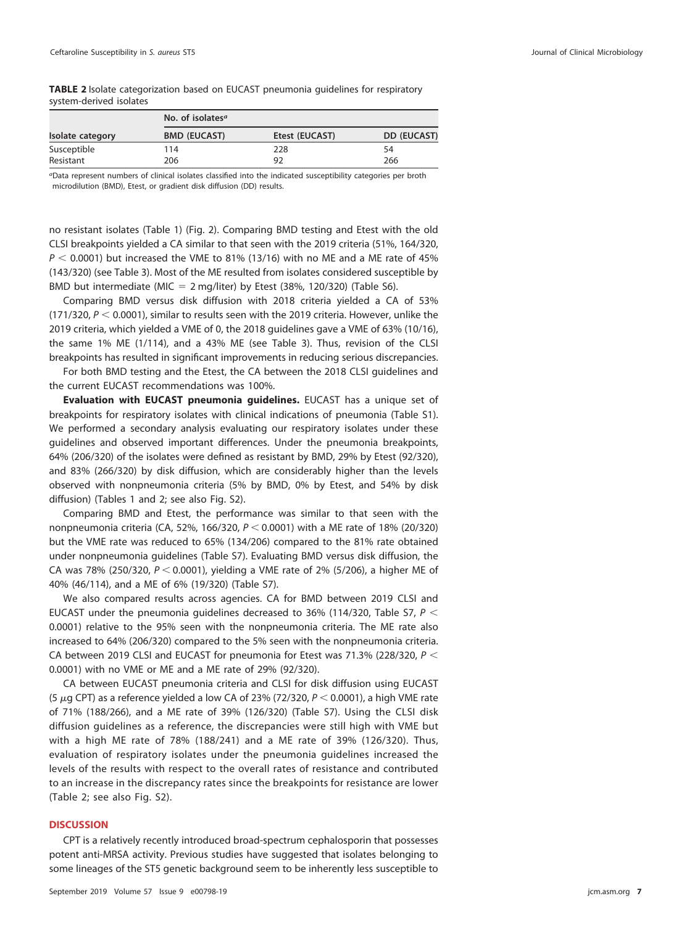<span id="page-6-0"></span>**TABLE 2** Isolate categorization based on EUCAST pneumonia guidelines for respiratory system-derived isolates

|                  | No. of isolates <sup><math>a</math></sup> |                |             |
|------------------|-------------------------------------------|----------------|-------------|
| Isolate category | <b>BMD (EUCAST)</b>                       | Etest (EUCAST) | DD (EUCAST) |
| Susceptible      | 114                                       | 228            | 54          |
| Resistant        | 206                                       | 92             | 266         |

aData represent numbers of clinical isolates classified into the indicated susceptibility categories per broth microdilution (BMD), Etest, or gradient disk diffusion (DD) results.

no resistant isolates [\(Table 1\)](#page-4-0) [\(Fig. 2\)](#page-4-1). Comparing BMD testing and Etest with the old CLSI breakpoints yielded a CA similar to that seen with the 2019 criteria (51%, 164/320,  $P < 0.0001$ ) but increased the VME to 81% (13/16) with no ME and a ME rate of 45% (143/320) (see [Table 3\)](#page-8-0). Most of the ME resulted from isolates considered susceptible by BMD but intermediate (MIC  $= 2$  mg/liter) by Etest (38%, 120/320) (Table S6).

Comparing BMD versus disk diffusion with 2018 criteria yielded a CA of 53% (171/320,  $P < 0.0001$ ), similar to results seen with the 2019 criteria. However, unlike the 2019 criteria, which yielded a VME of 0, the 2018 guidelines gave a VME of 63% (10/16), the same 1% ME (1/114), and a 43% ME (see [Table 3\)](#page-8-0). Thus, revision of the CLSI breakpoints has resulted in significant improvements in reducing serious discrepancies.

For both BMD testing and the Etest, the CA between the 2018 CLSI guidelines and the current EUCAST recommendations was 100%.

**Evaluation with EUCAST pneumonia guidelines.** EUCAST has a unique set of breakpoints for respiratory isolates with clinical indications of pneumonia (Table S1). We performed a secondary analysis evaluating our respiratory isolates under these guidelines and observed important differences. Under the pneumonia breakpoints, 64% (206/320) of the isolates were defined as resistant by BMD, 29% by Etest (92/320), and 83% (266/320) by disk diffusion, which are considerably higher than the levels observed with nonpneumonia criteria (5% by BMD, 0% by Etest, and 54% by disk diffusion) [\(Tables 1](#page-4-0) and [2;](#page-6-0) see also Fig. S2).

Comparing BMD and Etest, the performance was similar to that seen with the nonpneumonia criteria (CA, 52%, 166/320,  $P < 0.0001$ ) with a ME rate of 18% (20/320) but the VME rate was reduced to 65% (134/206) compared to the 81% rate obtained under nonpneumonia guidelines (Table S7). Evaluating BMD versus disk diffusion, the CA was 78% (250/320,  $P < 0.0001$ ), yielding a VME rate of 2% (5/206), a higher ME of 40% (46/114), and a ME of 6% (19/320) (Table S7).

We also compared results across agencies. CA for BMD between 2019 CLSI and EUCAST under the pneumonia quidelines decreased to 36% (114/320, Table S7,  $P <$ 0.0001) relative to the 95% seen with the nonpneumonia criteria. The ME rate also increased to 64% (206/320) compared to the 5% seen with the nonpneumonia criteria. CA between 2019 CLSI and EUCAST for pneumonia for Etest was 71.3% (228/320,  $P <$ 0.0001) with no VME or ME and a ME rate of 29% (92/320).

CA between EUCAST pneumonia criteria and CLSI for disk diffusion using EUCAST (5  $\mu$ g CPT) as a reference yielded a low CA of 23% (72/320,  $P < 0.0001$ ), a high VME rate of 71% (188/266), and a ME rate of 39% (126/320) (Table S7). Using the CLSI disk diffusion guidelines as a reference, the discrepancies were still high with VME but with a high ME rate of 78% (188/241) and a ME rate of 39% (126/320). Thus, evaluation of respiratory isolates under the pneumonia guidelines increased the levels of the results with respect to the overall rates of resistance and contributed to an increase in the discrepancy rates since the breakpoints for resistance are lower [\(Table 2;](#page-6-0) see also Fig. S2).

# **DISCUSSION**

CPT is a relatively recently introduced broad-spectrum cephalosporin that possesses potent anti-MRSA activity. Previous studies have suggested that isolates belonging to some lineages of the ST5 genetic background seem to be inherently less susceptible to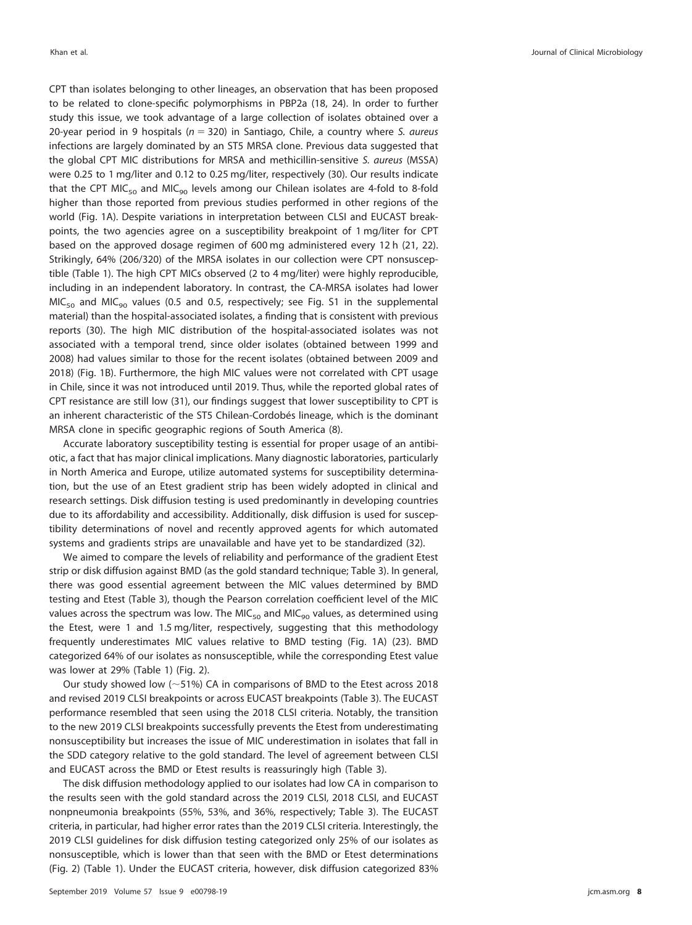CPT than isolates belonging to other lineages, an observation that has been proposed to be related to clone-specific polymorphisms in PBP2a [\(18,](#page-10-11) [24\)](#page-10-17). In order to further study this issue, we took advantage of a large collection of isolates obtained over a 20-year period in 9 hospitals ( $n = 320$ ) in Santiago, Chile, a country where S. aureus infections are largely dominated by an ST5 MRSA clone. Previous data suggested that the global CPT MIC distributions for MRSA and methicillin-sensitive S. aureus (MSSA) were 0.25 to 1 mg/liter and 0.12 to 0.25 mg/liter, respectively [\(30\)](#page-10-23). Our results indicate that the CPT MIC<sub>50</sub> and MIC<sub>90</sub> levels among our Chilean isolates are 4-fold to 8-fold higher than those reported from previous studies performed in other regions of the world [\(Fig. 1A\)](#page-3-0). Despite variations in interpretation between CLSI and EUCAST breakpoints, the two agencies agree on a susceptibility breakpoint of 1 mg/liter for CPT based on the approved dosage regimen of 600 mg administered every 12 h [\(21,](#page-10-14) [22\)](#page-10-15). Strikingly, 64% (206/320) of the MRSA isolates in our collection were CPT nonsusceptible [\(Table 1\)](#page-4-0). The high CPT MICs observed (2 to 4 mg/liter) were highly reproducible, including in an independent laboratory. In contrast, the CA-MRSA isolates had lower  $MIC<sub>50</sub>$  and MIC<sub>90</sub> values (0.5 and 0.5, respectively; see Fig. S1 in the supplemental material) than the hospital-associated isolates, a finding that is consistent with previous reports [\(30\)](#page-10-23). The high MIC distribution of the hospital-associated isolates was not associated with a temporal trend, since older isolates (obtained between 1999 and 2008) had values similar to those for the recent isolates (obtained between 2009 and 2018) [\(Fig. 1B\)](#page-3-0). Furthermore, the high MIC values were not correlated with CPT usage in Chile, since it was not introduced until 2019. Thus, while the reported global rates of CPT resistance are still low [\(31\)](#page-10-24), our findings suggest that lower susceptibility to CPT is an inherent characteristic of the ST5 Chilean-Cordobés lineage, which is the dominant MRSA clone in specific geographic regions of South America [\(8\)](#page-10-2).

Accurate laboratory susceptibility testing is essential for proper usage of an antibiotic, a fact that has major clinical implications. Many diagnostic laboratories, particularly in North America and Europe, utilize automated systems for susceptibility determination, but the use of an Etest gradient strip has been widely adopted in clinical and research settings. Disk diffusion testing is used predominantly in developing countries due to its affordability and accessibility. Additionally, disk diffusion is used for susceptibility determinations of novel and recently approved agents for which automated systems and gradients strips are unavailable and have yet to be standardized [\(32\)](#page-10-25).

We aimed to compare the levels of reliability and performance of the gradient Etest strip or disk diffusion against BMD (as the gold standard technique; [Table 3\)](#page-8-0). In general, there was good essential agreement between the MIC values determined by BMD testing and Etest [\(Table 3\)](#page-8-0), though the Pearson correlation coefficient level of the MIC values across the spectrum was low. The MIC<sub>50</sub> and MIC<sub>90</sub> values, as determined using the Etest, were 1 and 1.5 mg/liter, respectively, suggesting that this methodology frequently underestimates MIC values relative to BMD testing [\(Fig. 1A\)](#page-3-0) [\(23\)](#page-10-16). BMD categorized 64% of our isolates as nonsusceptible, while the corresponding Etest value was lower at 29% [\(Table 1\)](#page-4-0) [\(Fig. 2\)](#page-4-1).

Our study showed low  $(-51%)$  CA in comparisons of BMD to the Etest across 2018 and revised 2019 CLSI breakpoints or across EUCAST breakpoints [\(Table 3\)](#page-8-0). The EUCAST performance resembled that seen using the 2018 CLSI criteria. Notably, the transition to the new 2019 CLSI breakpoints successfully prevents the Etest from underestimating nonsusceptibility but increases the issue of MIC underestimation in isolates that fall in the SDD category relative to the gold standard. The level of agreement between CLSI and EUCAST across the BMD or Etest results is reassuringly high [\(Table 3\)](#page-8-0).

The disk diffusion methodology applied to our isolates had low CA in comparison to the results seen with the gold standard across the 2019 CLSI, 2018 CLSI, and EUCAST nonpneumonia breakpoints (55%, 53%, and 36%, respectively; [Table 3\)](#page-8-0). The EUCAST criteria, in particular, had higher error rates than the 2019 CLSI criteria. Interestingly, the 2019 CLSI guidelines for disk diffusion testing categorized only 25% of our isolates as nonsusceptible, which is lower than that seen with the BMD or Etest determinations [\(Fig. 2\)](#page-4-1) [\(Table 1\)](#page-4-0). Under the EUCAST criteria, however, disk diffusion categorized 83%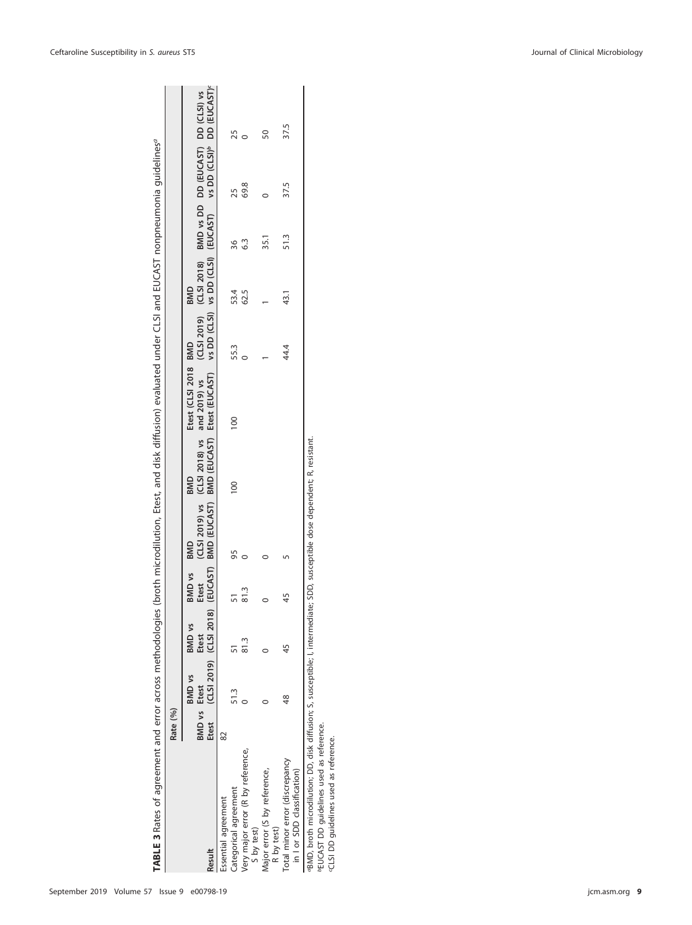| TABLE 3 Rates of agreement and error across methodologies (broth microdilution, Etest, and disk diffusion) evaluated under CLSI and EUCAST nonpneumonia guidelines <sup>a</sup> |                       |                |                        |                 |                                                   |                 |                                                                                                                                                               |      |      |            |      |                                                            |
|---------------------------------------------------------------------------------------------------------------------------------------------------------------------------------|-----------------------|----------------|------------------------|-----------------|---------------------------------------------------|-----------------|---------------------------------------------------------------------------------------------------------------------------------------------------------------|------|------|------------|------|------------------------------------------------------------|
|                                                                                                                                                                                 | Rate (%)              |                |                        |                 |                                                   |                 |                                                                                                                                                               |      |      |            |      |                                                            |
| Result                                                                                                                                                                          | BMD vs Etest<br>Etest | <b>BMD</b> vs  | <b>BMD</b> vs<br>Etest | BMD vs<br>Etest | (CLSI 2019) vs (CLSI 2018) vs and 2019) vs<br>BMD | <b>BMD</b>      | (CLSI 2019) (CLSI 2018) EUCAST) BMD (EUCAST) Etest (EUCAST) vs DD (CLSI) vs DD (CLSI) (EUCAST) vs DD (CLSI) <sup>,</sup> DD (EUCAST)<<br>Etest (CLSI 2018 BMD |      | BMD  |            |      | (CLSI 2019) (CLSI 2018) BMD vs DD DD (EUCAST) DD (CLSI) vs |
| Essential agreement                                                                                                                                                             | 82                    |                |                        |                 |                                                   |                 |                                                                                                                                                               |      |      |            |      |                                                            |
| Categorical agreement                                                                                                                                                           |                       | 51.3           |                        |                 | 95                                                | $\overline{00}$ | 100                                                                                                                                                           | 55.3 | 53.4 | 36         | 25   | 25                                                         |
| Very major error (R by reference,<br>S by test)                                                                                                                                 |                       |                | 81.3                   | 81.3            |                                                   |                 |                                                                                                                                                               |      | 62.5 | $\ddot{6}$ | 69.8 |                                                            |
| Major error (S by reference,<br>R by test)                                                                                                                                      |                       |                |                        |                 |                                                   |                 |                                                                                                                                                               |      |      | 35.1       |      | 50                                                         |
| Total minor error (discrepancy<br>in I or SDD classification)                                                                                                                   |                       | $\frac{48}{5}$ |                        |                 |                                                   |                 |                                                                                                                                                               | 44.4 | 43.1 | 51.3       | 37.5 | 37.5                                                       |
| eBMD, broth microdilution; DD, disk diffusion; S, susceptible; I, intermediate; SDD, susceptible dose dependent; R, resistant                                                   |                       |                |                        |                 |                                                   |                 |                                                                                                                                                               |      |      |            |      |                                                            |

<sup>b</sup>EUCAST DD guidelines used as reference.<br><CLSI DD guidelines used as reference. bEUCAST DD guidelines used as reference.

cCLSI DD guidelines used as reference.

<span id="page-8-0"></span>September 2019 Volume 57 Issue 9 e00798-19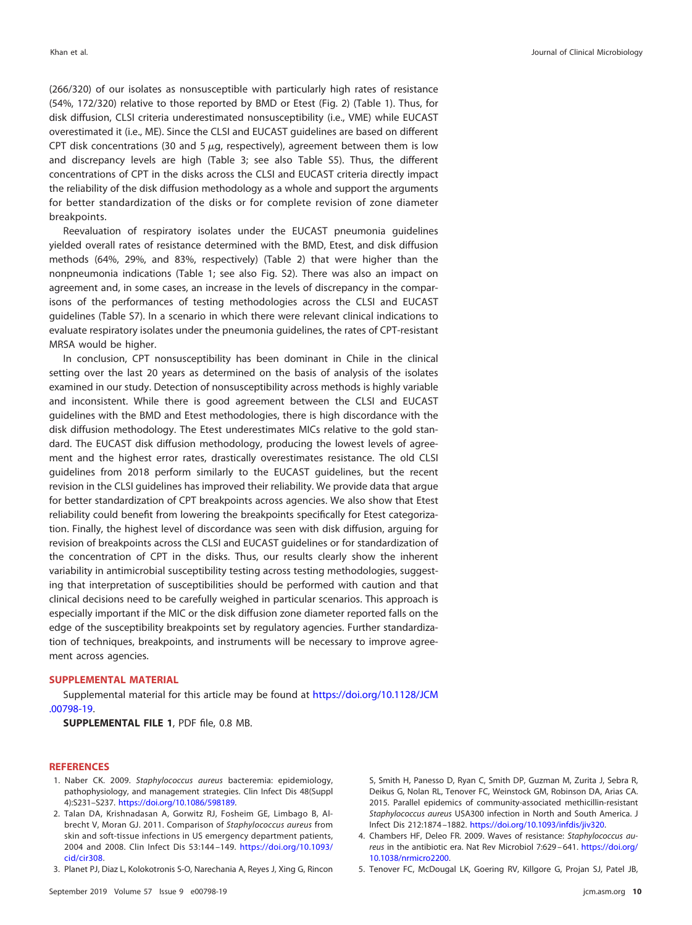(266/320) of our isolates as nonsusceptible with particularly high rates of resistance (54%, 172/320) relative to those reported by BMD or Etest [\(Fig. 2\)](#page-4-1) [\(Table 1\)](#page-4-0). Thus, for disk diffusion, CLSI criteria underestimated nonsusceptibility (i.e., VME) while EUCAST overestimated it (i.e., ME). Since the CLSI and EUCAST guidelines are based on different CPT disk concentrations (30 and 5  $\mu$ g, respectively), agreement between them is low and discrepancy levels are high [\(Table 3;](#page-8-0) see also Table S5). Thus, the different concentrations of CPT in the disks across the CLSI and EUCAST criteria directly impact the reliability of the disk diffusion methodology as a whole and support the arguments for better standardization of the disks or for complete revision of zone diameter breakpoints.

Reevaluation of respiratory isolates under the EUCAST pneumonia guidelines yielded overall rates of resistance determined with the BMD, Etest, and disk diffusion methods (64%, 29%, and 83%, respectively) [\(Table 2\)](#page-6-0) that were higher than the nonpneumonia indications [\(Table 1;](#page-4-0) see also Fig. S2). There was also an impact on agreement and, in some cases, an increase in the levels of discrepancy in the comparisons of the performances of testing methodologies across the CLSI and EUCAST guidelines (Table S7). In a scenario in which there were relevant clinical indications to evaluate respiratory isolates under the pneumonia guidelines, the rates of CPT-resistant MRSA would be higher.

In conclusion, CPT nonsusceptibility has been dominant in Chile in the clinical setting over the last 20 years as determined on the basis of analysis of the isolates examined in our study. Detection of nonsusceptibility across methods is highly variable and inconsistent. While there is good agreement between the CLSI and EUCAST guidelines with the BMD and Etest methodologies, there is high discordance with the disk diffusion methodology. The Etest underestimates MICs relative to the gold standard. The EUCAST disk diffusion methodology, producing the lowest levels of agreement and the highest error rates, drastically overestimates resistance. The old CLSI guidelines from 2018 perform similarly to the EUCAST guidelines, but the recent revision in the CLSI guidelines has improved their reliability. We provide data that argue for better standardization of CPT breakpoints across agencies. We also show that Etest reliability could benefit from lowering the breakpoints specifically for Etest categorization. Finally, the highest level of discordance was seen with disk diffusion, arguing for revision of breakpoints across the CLSI and EUCAST guidelines or for standardization of the concentration of CPT in the disks. Thus, our results clearly show the inherent variability in antimicrobial susceptibility testing across testing methodologies, suggesting that interpretation of susceptibilities should be performed with caution and that clinical decisions need to be carefully weighed in particular scenarios. This approach is especially important if the MIC or the disk diffusion zone diameter reported falls on the edge of the susceptibility breakpoints set by regulatory agencies. Further standardization of techniques, breakpoints, and instruments will be necessary to improve agreement across agencies.

# **SUPPLEMENTAL MATERIAL**

Supplemental material for this article may be found at [https://doi.org/10.1128/JCM](https://doi.org/10.1128/JCM.00798-19) [.00798-19.](https://doi.org/10.1128/JCM.00798-19)

**SUPPLEMENTAL FILE 1**, PDF file, 0.8 MB.

## <span id="page-9-0"></span>**REFERENCES**

- <span id="page-9-1"></span>1. Naber CK. 2009. Staphylococcus aureus bacteremia: epidemiology, pathophysiology, and management strategies. Clin Infect Dis 48(Suppl 4):S231–S237. [https://doi.org/10.1086/598189.](https://doi.org/10.1086/598189)
- 2. Talan DA, Krishnadasan A, Gorwitz RJ, Fosheim GE, Limbago B, Albrecht V, Moran GJ. 2011. Comparison of Staphylococcus aureus from skin and soft-tissue infections in US emergency department patients, 2004 and 2008. Clin Infect Dis 53:144 –149. [https://doi.org/10.1093/](https://doi.org/10.1093/cid/cir308) [cid/cir308.](https://doi.org/10.1093/cid/cir308)
- <span id="page-9-2"></span>3. Planet PJ, Diaz L, Kolokotronis S-O, Narechania A, Reyes J, Xing G, Rincon

S, Smith H, Panesso D, Ryan C, Smith DP, Guzman M, Zurita J, Sebra R, Deikus G, Nolan RL, Tenover FC, Weinstock GM, Robinson DA, Arias CA. 2015. Parallel epidemics of community-associated methicillin-resistant Staphylococcus aureus USA300 infection in North and South America. J Infect Dis 212:1874 –1882. [https://doi.org/10.1093/infdis/jiv320.](https://doi.org/10.1093/infdis/jiv320)

- <span id="page-9-4"></span><span id="page-9-3"></span>4. Chambers HF, Deleo FR. 2009. Waves of resistance: Staphylococcus aureus in the antibiotic era. Nat Rev Microbiol 7:629 – 641. [https://doi.org/](https://doi.org/10.1038/nrmicro2200) [10.1038/nrmicro2200.](https://doi.org/10.1038/nrmicro2200)
- 5. Tenover FC, McDougal LK, Goering RV, Killgore G, Projan SJ, Patel JB,